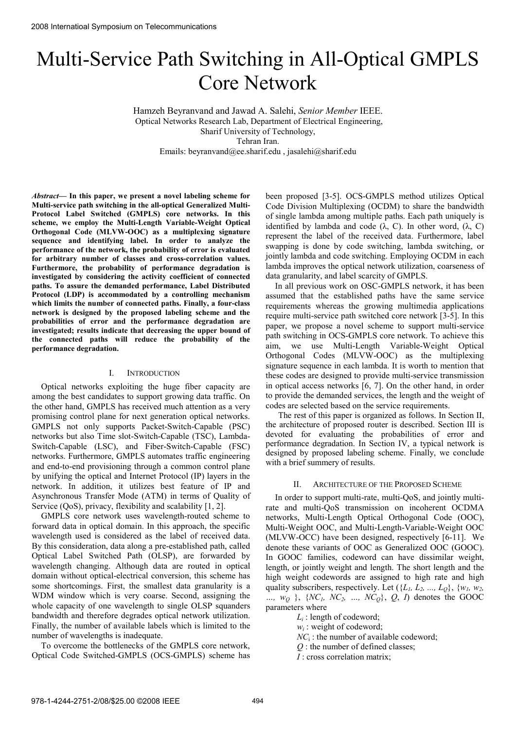# Multi-Service Path Switching in All-Optical GMPLS Core Network

Hamzeh Beyranvand and Jawad A. Salehi, *Senior Member* IEEE. Optical Networks Research Lab, Department of Electrical Engineering, Sharif University of Technology, Tehran Iran. Emails: beyranvand@ee.sharif.edu , jasalehi@sharif.edu

*Abstract***— In this paper, we present a novel labeling scheme for Multi-service path switching in the all-optical Generalized Multi-Protocol Label Switched (GMPLS) core networks. In this scheme, we employ the Multi-Length Variable-Weight Optical Orthogonal Code (MLVW-OOC) as a multiplexing signature sequence and identifying label. In order to analyze the performance of the network, the probability of error is evaluated for arbitrary number of classes and cross-correlation values. Furthermore, the probability of performance degradation is investigated by considering the activity coefficient of connected paths. To assure the demanded performance, Label Distributed Protocol (LDP) is accommodated by a controlling mechanism which limits the number of connected paths. Finally, a four-class network is designed by the proposed labeling scheme and the probabilities of error and the performance degradation are investigated; results indicate that decreasing the upper bound of the connected paths will reduce the probability of the performance degradation.** 

# I. INTRODUCTION

Optical networks exploiting the huge fiber capacity are among the best candidates to support growing data traffic. On the other hand, GMPLS has received much attention as a very promising control plane for next generation optical networks. GMPLS not only supports Packet-Switch-Capable (PSC) networks but also Time slot-Switch-Capable (TSC), Lambda-Switch-Capable (LSC), and Fiber-Switch-Capable (FSC) networks. Furthermore, GMPLS automates traffic engineering and end-to-end provisioning through a common control plane by unifying the optical and Internet Protocol (IP) layers in the network. In addition, it utilizes best feature of IP and Asynchronous Transfer Mode (ATM) in terms of Quality of Service (QoS), privacy, flexibility and scalability [1, 2].

GMPLS core network uses wavelength-routed scheme to forward data in optical domain. In this approach, the specific wavelength used is considered as the label of received data. By this consideration, data along a pre-established path, called Optical Label Switched Path (OLSP), are forwarded by wavelength changing. Although data are routed in optical domain without optical-electrical conversion, this scheme has some shortcomings. First, the smallest data granularity is a WDM window which is very coarse. Second, assigning the whole capacity of one wavelength to single OLSP squanders bandwidth and therefore degrades optical network utilization. Finally, the number of available labels which is limited to the number of wavelengths is inadequate.

To overcome the bottlenecks of the GMPLS core network, Optical Code Switched-GMPLS (OCS-GMPLS) scheme has been proposed [3-5]. OCS-GMPLS method utilizes Optical Code Division Multiplexing (OCDM) to share the bandwidth of single lambda among multiple paths. Each path uniquely is identified by lambda and code (λ, C). In other word, (λ, C) represent the label of the received data. Furthermore, label swapping is done by code switching, lambda switching, or jointly lambda and code switching. Employing OCDM in each lambda improves the optical network utilization, coarseness of data granularity, and label scarcity of GMPLS.

In all previous work on OSC-GMPLS network, it has been assumed that the established paths have the same service requirements whereas the growing multimedia applications require multi-service path switched core network [3-5]. In this paper, we propose a novel scheme to support multi-service path switching in OCS-GMPLS core network. To achieve this aim, we use Multi-Length Variable-Weight Optical Orthogonal Codes (MLVW-OOC) as the multiplexing signature sequence in each lambda. It is worth to mention that these codes are designed to provide multi-service transmission in optical access networks [6, 7]. On the other hand, in order to provide the demanded services, the length and the weight of codes are selected based on the service requirements.

The rest of this paper is organized as follows. In Section II, the architecture of proposed router is described. Section III is devoted for evaluating the probabilities of error and performance degradation. In Section IV, a typical network is designed by proposed labeling scheme. Finally, we conclude with a brief summery of results.

## II. ARCHITECTURE OF THE PROPOSED SCHEME

In order to support multi-rate, multi-QoS, and jointly multirate and multi-QoS transmission on incoherent OCDMA networks, Multi-Length Optical Orthogonal Code (OOC), Multi-Weight OOC, and Multi-Length-Variable-Weight OOC (MLVW-OCC) have been designed, respectively [6-11]. We denote these variants of OOC as Generalized OOC (GOOC). In GOOC families, codeword can have dissimilar weight, length, or jointly weight and length. The short length and the high weight codewords are assigned to high rate and high quality subscribers, respectively. Let  $(\{L_1, L_2, ..., L_Q\}, \{w_1, w_2, ...\})$ *…, wQ* }, {*NC1, NC2, …, NCQ*}, *Q*, *I*) denotes the GOOC parameters where

*Li* : length of codeword;

*wi* : weight of codeword;

*NC*<sub>i</sub>: the number of available codeword;

*Q* : the number of defined classes;

*I* : cross correlation matrix;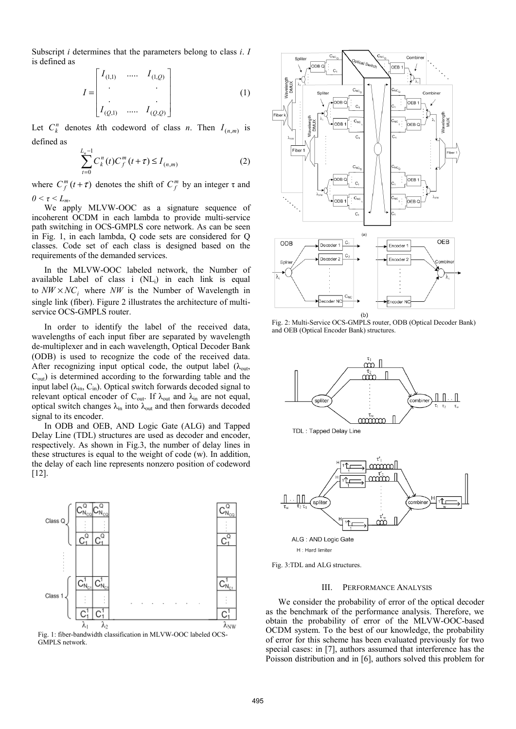Subscript *i* determines that the parameters belong to class *i*. *I* is defined as

$$
I = \begin{bmatrix} I_{(1,1)} & \dots & I_{(1,Q)} \\ \vdots & & \vdots \\ I_{(Q,1)} & \dots & I_{(Q,Q)} \end{bmatrix}
$$
 (1)

Let  $C_k^n$  denotes *k*th codeword of class *n*. Then  $I_{(n,m)}$  is defined as

$$
\sum_{t=0}^{L_n-1} C_k^n(t) C_f^m(t+\tau) \le I_{(n,m)}
$$
 (2)

where  $C_f^m(t+\tau)$  denotes the shift of  $C_f^m$  by an integer  $\tau$  and  $0 \leq \tau \leq L_m$ .

We apply MLVW-OOC as a signature sequence of incoherent OCDM in each lambda to provide multi-service path switching in OCS-GMPLS core network. As can be seen in Fig. 1, in each lambda, Q code sets are considered for Q classes. Code set of each class is designed based on the requirements of the demanded services.

In the MLVW-OOC labeled network, the Number of available Label of class i (NLi) in each link is equal to  $NW \times NC_i$  where *NW* is the Number of Wavelength in single link (fiber). Figure 2 illustrates the architecture of multiservice OCS-GMPLS router.

In order to identify the label of the received data, wavelengths of each input fiber are separated by wavelength de-multiplexer and in each wavelength, Optical Decoder Bank (ODB) is used to recognize the code of the received data. After recognizing input optical code, the output label ( $\lambda_{\text{out}}$ ,  $C<sub>out</sub>$ ) is determined according to the forwarding table and the input label  $(\lambda_{in}, C_{in})$ . Optical switch forwards decoded signal to relevant optical encoder of C<sub>out</sub>. If  $\lambda_{out}$  and  $\lambda_{in}$  are not equal, optical switch changes  $\lambda_{in}$  into  $\lambda_{out}$  and then forwards decoded signal to its encoder.

In ODB and OEB, AND Logic Gate (ALG) and Tapped Delay Line (TDL) structures are used as decoder and encoder, respectively. As shown in Fig.3, the number of delay lines in these structures is equal to the weight of code (w). In addition, the delay of each line represents nonzero position of codeword [12].







Fig. 2: Multi-Service OCS-GMPLS router, ODB (Optical Decoder Bank) and OEB (Optical Encoder Bank) structures.



TDL: Tapped Delay Line



H: Hard limiter

Fig. 3:TDL and ALG structures.

#### III. PERFORMANCE ANALYSIS

We consider the probability of error of the optical decoder as the benchmark of the performance analysis. Therefore, we obtain the probability of error of the MLVW-OOC-based OCDM system. To the best of our knowledge, the probability of error for this scheme has been evaluated previously for two special cases: in [7], authors assumed that interference has the Poisson distribution and in [6], authors solved this problem for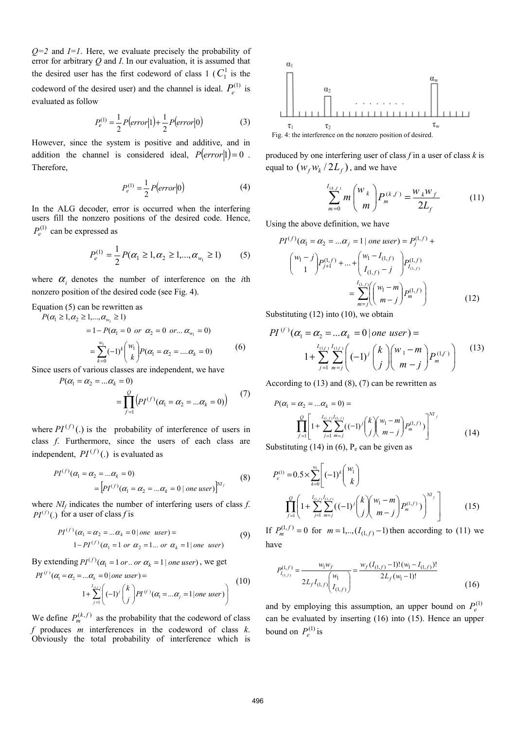*Q=2* and *I=1*. Here, we evaluate precisely the probability of error for arbitrary *Q* and *I*. In our evaluation, it is assumed that the desired user has the first codeword of class 1 ( $C_1^1$  is the codeword of the desired user) and the channel is ideal.  $P_e^{(1)}$  is evaluated as follow

$$
P_e^{(1)} = \frac{1}{2} P\big( error \big| 1\big) + \frac{1}{2} P\big( error \big| 0\big) \tag{3}
$$

However, since the system is positive and additive, and in addition the channel is considered ideal,  $P(error | 1) = 0$ . Therefore,

$$
P_e^{(1)} = \frac{1}{2} P\left( error \middle| 0 \right) \tag{4}
$$

In the ALG decoder, error is occurred when the interfering users fill the nonzero positions of the desired code. Hence,  $P_e^{(1)}$  can be expressed as

$$
P_e^{(1)} = \frac{1}{2} P(\alpha_1 \ge 1, \alpha_2 \ge 1, ..., \alpha_{w_1} \ge 1)
$$
 (5)

where  $\alpha_i$  denotes the number of interference on the *i*th nonzero position of the desired code (see Fig. 4).

Equation (5) can be rewritten as

$$
P(\alpha_1 \ge 1, \alpha_2 \ge 1, ..., \alpha_{w_1} \ge 1)
$$
  
= 1 - P(\alpha\_1 = 0 or \alpha\_2 = 0 or ... \alpha\_{w\_1} = 0)  
= 
$$
\sum_{k=0}^{w_1} (-1)^k {w_1 \choose k} P(\alpha_1 = \alpha_2 = ... \alpha_k = 0)
$$
 (6)

Since users of various classes are independent, we have

$$
P(\alpha_1 = \alpha_2 = \dots \alpha_k = 0)
$$
  
= 
$$
\prod_{f=1}^{Q} (PI^{(f)}(\alpha_1 = \alpha_2 = \dots \alpha_k = 0))
$$
 (7)

where  $PI^{(f)}(.)$  is the probability of interference of users in class *f*. Furthermore, since the users of each class are independent,  $PI^{(f)}(.)$  is evaluated as

$$
PI^{(f)}(\alpha_1 = \alpha_2 = \dots \alpha_k = 0)
$$
  
= 
$$
\left[PI^{(f)}(\alpha_1 = \alpha_2 = \dots \alpha_k = 0 \mid one \text{ user})\right]^{N_f}
$$
 (8)

where  $NI_f$  indicates the number of interfering users of class  $f$ .  $PI^{(f)}(.)$  for a user of class *f* is

$$
PI^{(f)}(\alpha_1 = \alpha_2 = ... \alpha_k = 0 | one \text{ user}) =
$$
  
1-PI<sup>(f)</sup>(\alpha\_1 = 1 or \alpha\_2 = 1 ... or \alpha\_k = 1 | one user) (9)

By extending  $PI^{(f)}(\alpha_1 = 1 \text{ or } \alpha_k = 1 | \text{ one user}),$  we get

$$
PI^{(f)}(\alpha_1 = \alpha_2 = \dots \alpha_k = 0 | one \text{ user}) =
$$
  

$$
1 + \sum_{j=1}^{I_{(1,f)}} \left( (-1)^j {k \choose j} PI^{(f)}(\alpha_1 = \dots \alpha_j = 1 | one \text{ user}) \right)
$$
 (10)

We define  $P_m^{(k,f)}$  as the probability that the codeword of class *f* produces *m* interferences in the codeword of class *k*. Obviously the total probability of interference which is



produced by one interfering user of class *f* in a user of class *k* is equal to  $(w_fw_k/2L_f)$ , and we have

$$
\sum_{m=0}^{I_{(k,f)}} m \binom{w_k}{m} P_m^{(k,f)} = \frac{w_k w_f}{2L_f} \tag{11}
$$

Using the above definition, we have

$$
PI^{(f)}(\alpha_1 = \alpha_2 = ... \alpha_j = 1 | one user) = P_j^{(1,f)} + \binom{w_1 - j}{1} P_{j+1}^{(1,f)} + ... + \binom{w_1 - l_{(1,f)}}{l_{(1,f)} - j} P_{l_{(1,f)}}^{(1,f)} - \sum_{m=j}^{l_{(1,f)}} \binom{w_1 - m}{m - j} P_m^{(1,f)} \tag{12}
$$

Substituting (12) into (10), we obtain

$$
PI^{(f)}(\alpha_1 = \alpha_2 = ... \alpha_k = 0 | one \text{ user}) =
$$
  

$$
1 + \sum_{j=1}^{I_{(1,f)}} \sum_{m=j}^{I_{(1,f)}} \left( (-1)^j \binom{k}{j} {w_1 - m \choose m-j} P_m^{(1,f)} \right)
$$
(13)

According to  $(13)$  and  $(8)$ ,  $(7)$  can be rewritten as

$$
P(\alpha_1 = \alpha_2 = ... \alpha_k = 0) =
$$
  

$$
\prod_{f=1}^{Q} \left[ 1 + \sum_{j=1}^{I_{(1,f)}I_{(1,f)}} (-1)^j {k \choose j} {w_1 - m \choose m-j} P_m^{(1,f)} \right]^{NI_f}
$$
(14)

Substituting (14) in (6),  $P_e$  can be given as

$$
P_e^{(1)} = 0.5 \times \sum_{k=0}^{w_1} \left[ (-1)^k \binom{w_1}{k} \right]
$$
  

$$
\prod_{f=1}^{Q} \left( 1 + \sum_{j=1}^{I_{(1,f)} I_{(1,f)}} (-1)^j \binom{k}{j} \binom{w_1 - m}{m-j} P_m^{(1,f)} \right)^{N I_f} \right]
$$
(15)

If  $P_m^{(1,f)} = 0$  for  $m = 1,.., (I_{(1,f)} - 1)$  then according to (11) we have

$$
P_{I_{(1,f)}}^{(1,f)} = \frac{w_1 w_f}{2L_f I_{(1,f)} \left(\frac{w_1}{I_{(1,f)}}\right)} = \frac{w_f (I_{(1,f)} - 1)! (w_1 - I_{(1,f)})!}{2L_f (w_1 - 1)!} \tag{16}
$$

and by employing this assumption, an upper bound on  $P_e^{(1)}$ can be evaluated by inserting (16) into (15). Hence an upper bound on  $P_e^{(1)}$  is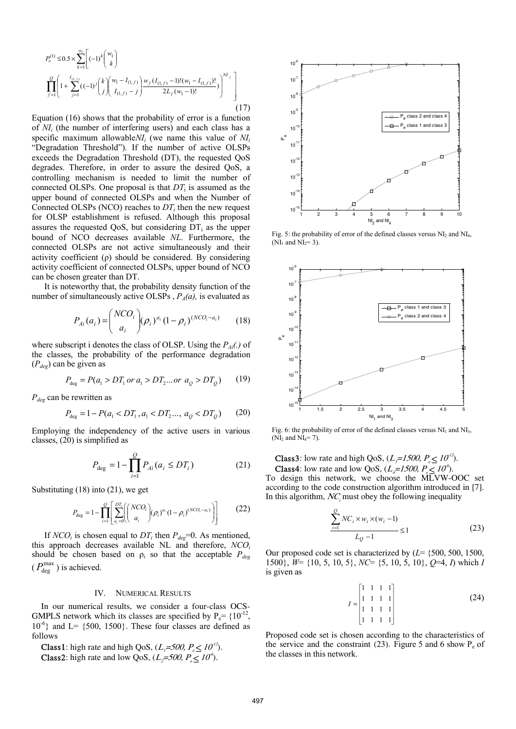$$
P_e^{(1)} \le 0.5 \times \sum_{k=1}^{w_1} \left[ (-1)^k \binom{w_1}{k} \right]
$$
  

$$
\prod_{f=1}^Q \left( 1 + \sum_{j=1}^{I_{(1,f)}} \left( (-1)^j \binom{k}{j} \binom{w_1 - I_{(1,f)}}{I_{(1,f)} - j} \frac{w_f(I_{(1,f)} - 1)!(w_1 - I_{(1,f)})!}{2L_f(w_1 - 1)!} \right)^{N I_f} \right]
$$
  
(17)

Equation (16) shows that the probability of error is a function of *NI<sub>i</sub>* (the number of interfering users) and each class has a specific maximum allowable $N_I$  (we name this value of  $N_I$ "Degradation Threshold"). If the number of active OLSPs exceeds the Degradation Threshold (DT), the requested QoS degrades. Therefore, in order to assure the desired QoS, a controlling mechanism is needed to limit the number of connected OLSPs. One proposal is that  $DT_i$  is assumed as the upper bound of connected OLSPs and when the Number of Connected OLSPs (NCO) reaches to  $DT_i$  then the new request for OLSP establishment is refused. Although this proposal assures the requested QoS, but considering  $DT_i$  as the upper bound of NCO decreases available *NL*. Furthermore, the connected OLSPs are not active simultaneously and their activity coefficient  $(\rho)$  should be considered. By considering activity coefficient of connected OLSPs, upper bound of NCO can be chosen greater than DT.

It is noteworthy that, the probability density function of the number of simultaneously active OLSPs,  $P_A(a)$ , is evaluated as

$$
P_{Ai}(a_i) = \binom{NCO_i}{a_i} (\rho_i)^{a_i} (1 - \rho_i)^{(NCO_i - a_i)}
$$
(18)

where subscript i denotes the class of OLSP. Using the  $P_{Ai}$ . of the classes, the probability of the performance degradation (*Pdeg*) can be given as

$$
P_{\text{deg}} = P(a_1 > DT_1 \text{ or } a_1 > DT_2... \text{ or } a_0 > DT_0) \tag{19}
$$

*Pdeg* can be rewritten as

$$
P_{\text{deg}} = 1 - P(a_1 < DT_1, a_1 < DT_2 \dots, a_Q < DT_Q) \tag{20}
$$

Employing the independency of the active users in various classes, (20) is simplified as

$$
P_{\text{deg}} = 1 - \prod_{i=1}^{Q} P_{Ai}(a_i \le DT_i)
$$
 (21)

Substituting (18) into (21), we get

$$
P_{\text{deg}} = 1 - \prod_{i=1}^{Q} \left[ \sum_{a_i=0}^{DT_i} \left( \binom{NCO_i}{a_i} (\rho_i)^{a_i} (1 - \rho_i)^{(NCO_i - a_i)} \right) \right]
$$
(22)

If *NCO<sub>i</sub>* is chosen equal to  $DT_i$  then  $P_{deg}$ =0. As mentioned, this approach decreases available NL and therefore, *NCOi* should be chosen based on  $\rho_i$  so that the acceptable  $P_{deg}$  $(P_{\text{deg}}^{\text{max}})$  is achieved.

# IV. NUMERICAL RESULTS

In our numerical results, we consider a four-class OCS-GMPLS network which its classes are specified by  $P_e = \{10^{-12},\}$  $10^{-6}$ } and L= {500, 1500}. These four classes are defined as follows

**Class1**: high rate and high QoS,  $(L_1 = 500, P_e \le 10^{12})$ . **Class2**: high rate and low QoS,  $(L_2=500, P_e \le 10^6)$ .



Fig. 5: the probability of error of the defined classes versus  $NI_2$  and  $NI_4$ ,  $(NI_1$  and  $NI_2=3)$ .



Fig. 6: the probability of error of the defined classes versus  $NI_1$  and  $NI_3$ ,  $(NI<sub>2</sub>$  and  $NI<sub>4</sub>=7)$ .

**Class3**: low rate and high QoS,  $(L<sub>3</sub>=1500, P<sub>e</sub> \le 10<sup>12</sup>)$ . **Class4**: low rate and low QoS,  $(L_4=1500, P_e \leq 10^6)$ . To design this network, we choose the MLVW-OOC set according to the code construction algorithm introduced in [7]. In this algorithm,  $NC<sub>i</sub>$  must obey the following inequality

$$
\frac{\sum_{i=1}^{Q} NC_i \times w_i \times (w_i - 1)}{L_Q - 1} \le 1
$$
\n(23)

Our proposed code set is characterized by (*L*= {500, 500, 1500, 1500}, *W*= {10, 5, 10, 5}, *NC*= {5, 10, 5, 10}, *Q*=4, *I*) which *I* is given as

$$
I = \begin{bmatrix} 1 & 1 & 1 & 1 \\ 1 & 1 & 1 & 1 \\ 1 & 1 & 1 & 1 \\ 1 & 1 & 1 & 1 \end{bmatrix}
$$
 (24)

Proposed code set is chosen according to the characteristics of the service and the constraint (23). Figure 5 and 6 show  $P_e$  of the classes in this network.